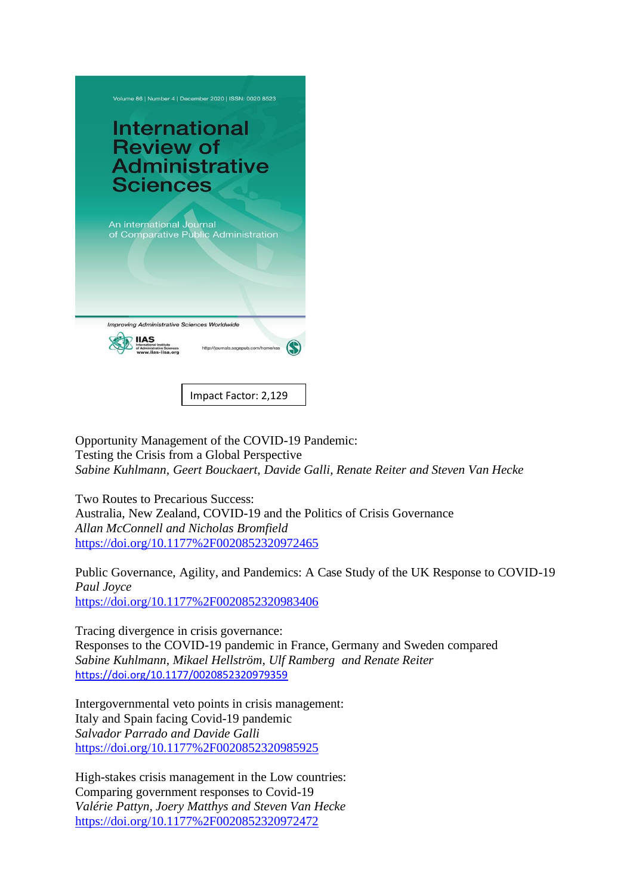

Impact Factor: 2,129

Opportunity Management of the COVID-19 Pandemic: Testing the Crisis from a Global Perspective *Sabine Kuhlmann, Geert Bouckaert, Davide Galli, Renate Reiter and Steven Van Hecke*

Two Routes to Precarious Success: Australia, New Zealand, COVID-19 and the Politics of Crisis Governance *Allan McConnell and Nicholas Bromfield* <https://doi.org/10.1177%2F0020852320972465>

Public Governance, Agility, and Pandemics: A Case Study of the UK Response to COVID-19 *Paul Joyce* <https://doi.org/10.1177%2F0020852320983406>

Tracing divergence in crisis governance: Responses to the COVID-19 pandemic in France, Germany and Sweden compared *Sabine Kuhlmann, Mikael Hellström, Ulf Ramberg and Renate Reiter* <https://doi.org/10.1177/0020852320979359>

Intergovernmental veto points in crisis management: Italy and Spain facing Covid-19 pandemic *Salvador Parrado and Davide Galli* <https://doi.org/10.1177%2F0020852320985925>

High-stakes crisis management in the Low countries: Comparing government responses to Covid-19 *Valérie Pattyn, Joery Matthys and Steven Van Hecke* <https://doi.org/10.1177%2F0020852320972472>